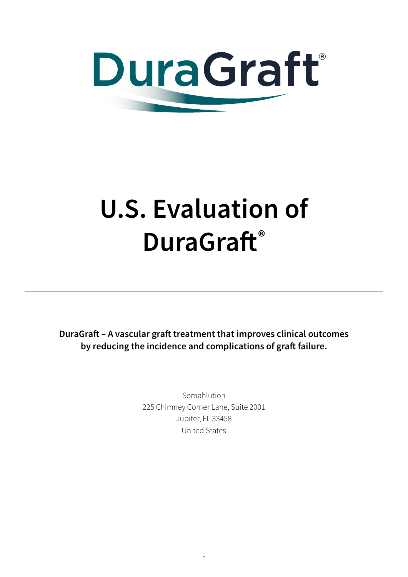

# **U.S. Evaluation of DuraGraft®**

**DuraGraft – A vascular graft treatment that improves clinical outcomes by reducing the incidence and complications of graft failure.**

> Somahlution 225 Chimney Corner Lane, Suite 2001 Jupiter, FL 33458 United States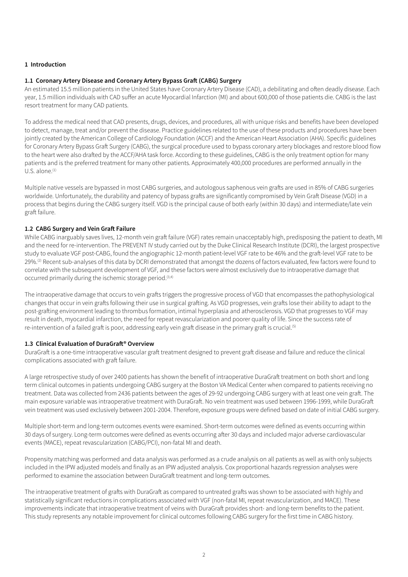# **1 Introduction**

# **1.1 Coronary Artery Disease and Coronary Artery Bypass Graft (CABG) Surgery**

An estimated 15.5 million patients in the United States have Coronary Artery Disease (CAD), a debilitating and often deadly disease. Each year, 1.5 million individuals with CAD suffer an acute Myocardial Infarction (MI) and about 600,000 of those patients die. CABG is the last resort treatment for many CAD patients.

To address the medical need that CAD presents, drugs, devices, and procedures, all with unique risks and benefits have been developed to detect, manage, treat and/or prevent the disease. Practice guidelines related to the use of these products and procedures have been jointly created by the American College of Cardiology Foundation (ACCF) and the American Heart Association (AHA). Specific guidelines for Coronary Artery Bypass Graft Surgery (CABG), the surgical procedure used to bypass coronary artery blockages and restore blood flow to the heart were also drafted by the ACCF/AHA task force. According to these guidelines, CABG is the only treatment option for many patients and is the preferred treatment for many other patients. Approximately 400,000 procedures are performed annually in the U.S. alone. $(1)$ 

Multiple native vessels are bypassed in most CABG surgeries, and autologous saphenous vein grafts are used in 85% of CABG surgeries worldwide. Unfortunately, the durability and patency of bypass grafts are significantly compromised by Vein Graft Disease (VGD) in a process that begins during the CABG surgery itself. VGD is the principal cause of both early (within 30 days) and intermediate/late vein graft failure.

# **1.2 CABG Surgery and Vein Graft Failure**

While CABG inarguably saves lives, 12-month vein graft failure (VGF) rates remain unacceptably high, predisposing the patient to death, MI and the need for re-intervention. The PREVENT IV study carried out by the Duke Clinical Research Institute (DCRI), the largest prospective study to evaluate VGF post-CABG, found the angiographic 12-month patient-level VGF rate to be 46% and the graft-level VGF rate to be 29%.<sup>(2)</sup> Recent sub-analyses of this data by DCRI demonstrated that amongst the dozens of factors evaluated, few factors were found to correlate with the subsequent development of VGF, and these factors were almost exclusively due to intraoperative damage that occurred primarily during the ischemic storage period.<sup>(3,4)</sup>

The intraoperative damage that occurs to vein grafts triggers the progressive process of VGD that encompasses the pathophysiological changes that occur in vein grafts following their use in surgical grafting. As VGD progresses, vein grafts lose their ability to adapt to the post-grafting environment leading to thrombus formation, intimal hyperplasia and atherosclerosis. VGD that progresses to VGF may result in death, myocardial infarction, the need for repeat revascularization and poorer quality of life. Since the success rate of re-intervention of a failed graft is poor, addressing early vein graft disease in the primary graft is crucial.<sup>(5)</sup>

#### **1.3 Clinical Evaluation of DuraGraft® Overview**

DuraGraft is a one-time intraoperative vascular graft treatment designed to prevent graft disease and failure and reduce the clinical complications associated with graft failure.

A large retrospective study of over 2400 patients has shown the benefit of intraoperative DuraGraft treatment on both short and long term clinical outcomes in patients undergoing CABG surgery at the Boston VA Medical Center when compared to patients receiving no treatment. Data was collected from 2436 patients between the ages of 29-92 undergoing CABG surgery with at least one vein graft. The main exposure variable was intraoperative treatment with DuraGraft. No vein treatment was used between 1996-1999, while DuraGraft vein treatment was used exclusively between 2001-2004. Therefore, exposure groups were defined based on date of initial CABG surgery.

Multiple short-term and long-term outcomes events were examined. Short-term outcomes were defined as events occurring within 30 days of surgery. Long-term outcomes were defined as events occurring after 30 days and included major adverse cardiovascular events (MACE), repeat revascularization (CABG/PCI), non-fatal MI and death.

Propensity matching was performed and data analysis was performed as a crude analysis on all patients as well as with only subjects included in the IPW adjusted models and finally as an IPW adjusted analysis. Cox proportional hazards regression analyses were performed to examine the association between DuraGraft treatment and long-term outcomes.

The intraoperative treatment of grafts with DuraGraft as compared to untreated grafts was shown to be associated with highly and statistically significant reductions in complications associated with VGF (non-fatal MI, repeat revascularization, and MACE). These improvements indicate that intraoperative treatment of veins with DuraGraft provides short- and long-term benefits to the patient. This study represents any notable improvement for clinical outcomes following CABG surgery for the first time in CABG history.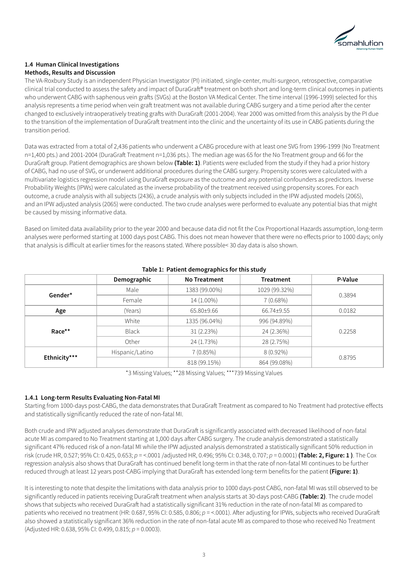

# **1.4 Human Clinical Investigations Methods, Results and Discussion**

The VA-Roxbury Study is an independent Physician Investigator (PI) initiated, single-center, multi-surgeon, retrospective, comparative clinical trial conducted to assess the safety and impact of DuraGraft® treatment on both short and long-term clinical outcomes in patients who underwent CABG with saphenous vein grafts (SVGs) at the Boston VA Medical Center. The time interval (1996-1999) selected for this analysis represents a time period when vein graft treatment was not available during CABG surgery and a time period after the center changed to exclusively intraoperatively treating grafts with DuraGraft (2001-2004). Year 2000 was omitted from this analysis by the PI due to the transition of the implementation of DuraGraft treatment into the clinic and the uncertainty of its use in CABG patients during the transition period.

Data was extracted from a total of 2,436 patients who underwent a CABG procedure with at least one SVG from 1996-1999 (No Treatment n=1,400 pts.) and 2001-2004 (DuraGraft Treatment n=1,036 pts.). The median age was 65 for the No Treatment group and 66 for the DuraGraft group. Patient demographics are shown below **(Table: 1)**. Patients were excluded from the study if they had a prior history of CABG, had no use of SVG, or underwent additional procedures during the CABG surgery. Propensity scores were calculated with a multivariate logistics regression model using DuraGraft exposure as the outcome and any potential confounders as predictors. Inverse Probability Weights (IPWs) were calculated as the inverse probability of the treatment received using propensity scores. For each outcome, a crude analysis with all subjects (2436), a crude analysis with only subjects included in the IPW adjusted models (2065), and an IPW adjusted analysis (2065) were conducted. The two crude analyses were performed to evaluate any potential bias that might be caused by missing informative data.

Based on limited data availability prior to the year 2000 and because data did not fit the Cox Proportional Hazards assumption, long-term analyses were performed starting at 1000 days post CABG. This does not mean however that there were no effects prior to 1000 days; only that analysis is difficult at earlier times for the reasons stated. Where possible< 30 day data is also shown.

|              | Demographic     | <b>No Treatment</b> | <b>Treatment</b> | P-Value |  |
|--------------|-----------------|---------------------|------------------|---------|--|
| Gender*      | Male            | 1383 (99.00%)       | 1029 (99.32%)    |         |  |
|              | Female          | 14 (1.00%)          | $7(0.68\%)$      | 0.3894  |  |
| Age          | (Years)         | 65.80±9.66          | 66.74±9.55       | 0.0182  |  |
| Race**       | White           | 1335 (96.04%)       | 996 (94.89%)     |         |  |
|              | <b>Black</b>    | 31(2.23%)           | 24 (2.36%)       | 0.2258  |  |
|              | Other           | 24 (1.73%)          | 28 (2.75%)       |         |  |
| Ethnicity*** | Hispanic/Latino | $7(0.85\%)$         | 8 (0.92%)        |         |  |
|              |                 | 818 (99.15%)        | 864 (99.08%)     | 0.8795  |  |

# **Table 1: Patient demographics for this study**

\*3 Missing Values; \*\*28 Missing Values; \*\*\*739 Missing Values

# **1.4.1 Long-term Results Evaluating Non-Fatal MI**

Starting from 1000-days post-CABG, the data demonstrates that DuraGraft Treatment as compared to No Treatment had protective effects and statistically significantly reduced the rate of non-fatal MI.

Both crude and IPW adjusted analyses demonstrate that DuraGraft is significantly associated with decreased likelihood of non-fatal acute MI as compared to No Treatment starting at 1,000 days after CABG surgery. The crude analysis demonstrated a statistically significant 47% reduced risk of a non-fatal MI while the IPW adjusted analysis demonstrated a statistically significant 50% reduction in risk (crude HR, 0.527; 95% CI: 0.425, 0.653; *p* = <.0001 /adjusted HR, 0.496; 95% CI: 0.348, 0.707; *p* = 0.0001) **(Table: 2, Figure: 1 )**. The Cox regression analysis also shows that DuraGraft has continued benefit long-term in that the rate of non-fatal MI continues to be further reduced through at least 12 years post-CABG implying that DuraGraft has extended long-term benefits for the patient **(Figure: 1)**.

It is interesting to note that despite the limitations with data analysis prior to 1000 days-post CABG, non-fatal MI was still observed to be significantly reduced in patients receiving DuraGraft treatment when analysis starts at 30-days post-CABG **(Table: 2)**. The crude model shows that subjects who received DuraGraft had a statistically significant 31% reduction in the rate of non-fatal MI as compared to patients who received no treatment (HR: 0.687, 95% CI: 0.585, 0.806; *p* = <.0001). After adjusting for IPWs, subjects who received DuraGraft also showed a statistically significant 36% reduction in the rate of non-fatal acute MI as compared to those who received No Treatment (Adjusted HR: 0.638, 95% CI: 0.499, 0.815; *p* = 0.0003).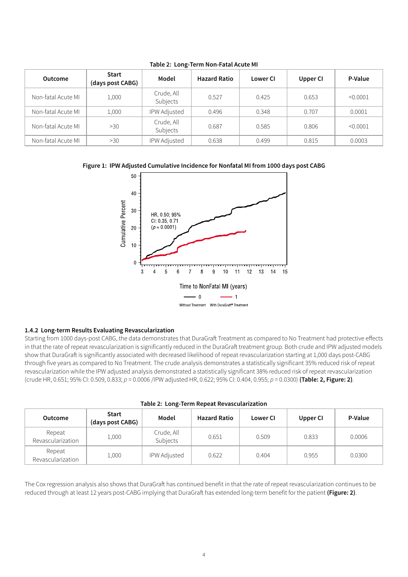| <b>Outcome</b>     | Start<br>(days post CABG) | Model                  | <b>Hazard Ratio</b> | Lower CI | Upper CI | P-Value  |
|--------------------|---------------------------|------------------------|---------------------|----------|----------|----------|
| Non-fatal Acute MI | 1,000                     | Crude, All<br>Subjects | 0.527               | 0.425    | 0.653    | < 0.0001 |
| Non-fatal Acute MI | 1,000                     | <b>IPW Adjusted</b>    | 0.496               | 0.348    | 0.707    | 0.0001   |
| Non-fatal Acute MI | >30                       | Crude, All<br>Subjects | 0.687               | 0.585    | 0.806    | < 0.0001 |
| Non-fatal Acute MI | >30                       | IPW Adjusted           | 0.638               | 0.499    | 0.815    | 0.0003   |

**Table 2: Long-Term Non-Fatal Acute MI**





#### **1.4.2 Long-term Results Evaluating Revascularization**

Starting from 1000 days-post CABG, the data demonstrates that DuraGraft Treatment as compared to No Treatment had protective effects in that the rate of repeat revascularization is significantly reduced in the DuraGraft treatment group. Both crude and IPW adjusted models show that DuraGraft is significantly associated with decreased likelihood of repeat revascularization starting at 1,000 days post-CABG through five years as compared to No Treatment. The crude analysis demonstrates a statistically significant 35% reduced risk of repeat revascularization while the IPW adjusted analysis demonstrated a statistically significant 38% reduced risk of repeat revascularization (crude HR, 0.651; 95% CI: 0.509, 0.833; *p* = 0.0006 /IPW adjusted HR, 0.622; 95% CI: 0.404, 0.955; *p* = 0.0300) **(Table: 2, Figure: 2)**.

| <b>Outcome</b>              | <b>Start</b><br>(days post CABG) | Model                  | <b>Hazard Ratio</b> | <b>Lower CI</b> | Upper CI | P-Value |
|-----------------------------|----------------------------------|------------------------|---------------------|-----------------|----------|---------|
| Repeat<br>Revascularization | 1,000                            | Crude, All<br>Subjects | 0.651               | 0.509           | 0.833    | 0.0006  |
| Repeat<br>Revascularization | 1,000                            | <b>IPW Adjusted</b>    | 0.622               | 0.404           | 0.955    | 0.0300  |

The Cox regression analysis also shows that DuraGraft has continued benefit in that the rate of repeat revascularization continues to be reduced through at least 12 years post-CABG implying that DuraGraft has extended long-term benefit for the patient **(Figure: 2)**.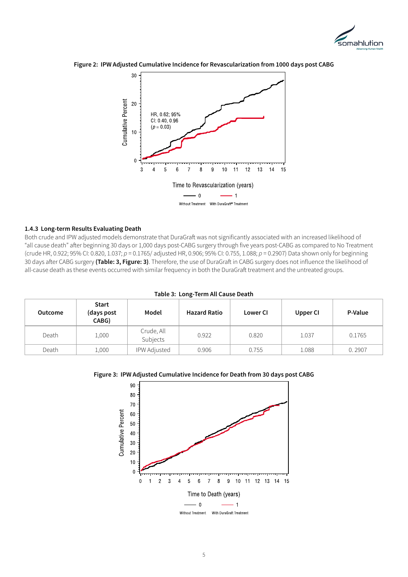





## **1.4.3 Long-term Results Evaluating Death**

Both crude and IPW adjusted models demonstrate that DuraGraft was not significantly associated with an increased likelihood of "all cause death" after beginning 30 days or 1,000 days post-CABG surgery through five years post-CABG as compared to No Treatment (crude HR, 0.922; 95% CI: 0.820, 1.037; *p* = 0.1765/ adjusted HR, 0.906; 95% CI: 0.755, 1.088; *p* = 0.2907) Data shown only for beginning 30 days after CABG surgery **(Table: 3, Figure: 3)**. Therefore, the use of DuraGraft in CABG surgery does not influence the likelihood of all-cause death as these events occurred with similar frequency in both the DuraGraft treatment and the untreated groups.

| Table 3. Long-Term All Cause Death |                              |                        |                     |                 |          |         |  |
|------------------------------------|------------------------------|------------------------|---------------------|-----------------|----------|---------|--|
| <b>Outcome</b>                     | Start<br>(days post<br>CABG) | Model                  | <b>Hazard Ratio</b> | <b>Lower CI</b> | Upper CI | P-Value |  |
| Death                              | 1,000                        | Crude, All<br>Subjects | 0.922               | 0.820           | 1.037    | 0.1765  |  |
| Death                              | 1,000                        | <b>IPW Adjusted</b>    | 0.906               | 0.755           | 1.088    | 0.2907  |  |

# **Table 3: Long-Term All Cause Death**

#### **Figure 3: IPW Adjusted Cumulative Incidence for Death from 30 days post CABG**

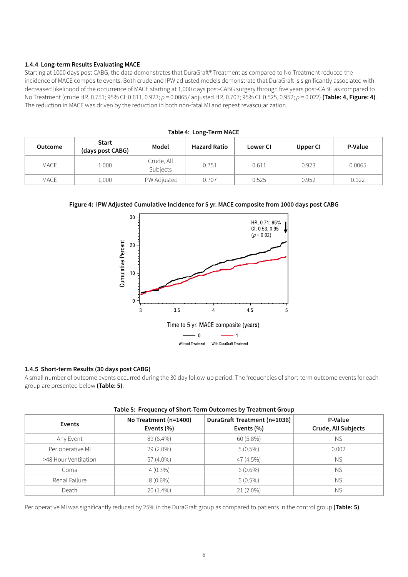# **1.4.4 Long-term Results Evaluating MACE**

Starting at 1000 days post CABG, the data demonstrates that DuraGraft® Treatment as compared to No Treatment reduced the incidence of MACE composite events. Both crude and IPW adjusted models demonstrate that DuraGraft is significantly associated with decreased likelihood of the occurrence of MACE starting at 1,000 days post-CABG surgery through five years post-CABG as compared to No Treatment (crude HR, 0.751; 95% CI: 0.611, 0.923; *p* = 0.0065/ adjusted HR, 0.707; 95% CI: 0.525, 0.952; *p* = 0.022) **(Table: 4, Figure: 4)**. The reduction in MACE was driven by the reduction in both non-fatal MI and repeat revascularization.

| Table 4: Long-Term MACE |                                  |                        |                     |                 |          |         |
|-------------------------|----------------------------------|------------------------|---------------------|-----------------|----------|---------|
| <b>Outcome</b>          | <b>Start</b><br>(days post CABG) | Model                  | <b>Hazard Ratio</b> | <b>Lower CI</b> | Upper CI | P-Value |
| MACE                    | 1,000                            | Crude, All<br>Subjects | 0.751               | 0.611           | 0.923    | 0.0065  |
| MACE                    | 1,000                            | <b>IPW Adjusted</b>    | 0.707               | 0.525           | 0.952    | 0.022   |

# **Table 4: Long-Term MACE**

#### **Figure 4: IPW Adjusted Cumulative Incidence for 5 yr. MACE composite from 1000 days post CABG**



#### **1.4.5 Short-term Results (30 days post CABG)**

A small number of outcome events occurred during the 30 day follow-up period. The frequencies of short-term outcome events for each group are presented below **(Table: 5)**.

| Table 5: Frequency of Short-Term Outcomes by Treatment Group |                                         |                                            |                                |  |  |  |  |
|--------------------------------------------------------------|-----------------------------------------|--------------------------------------------|--------------------------------|--|--|--|--|
| Events                                                       | No Treatment (n=1400)<br>Events $(\% )$ | DuraGraft Treatment (n=1036)<br>Events (%) | P-Value<br>Crude, All Subjects |  |  |  |  |
| Any Event                                                    | 89 (6.4%)                               | 60 (5.8%)                                  | NS.                            |  |  |  |  |
| Perioperative MI                                             | 29 (2.0%)                               | $5(0.5\%)$                                 | 0.002                          |  |  |  |  |
| >48 Hour Ventilation                                         | 57 (4.0%)                               | 47 (4.5%)                                  | <b>NS</b>                      |  |  |  |  |
| Coma                                                         | $4(0.3\%)$                              | $6(0.6\%)$                                 | <b>NS</b>                      |  |  |  |  |
| Renal Failure                                                | $8(0.6\%)$                              | $5(0.5\%)$                                 | <b>NS</b>                      |  |  |  |  |
| Death                                                        | 20 (1.4%)                               | $21(2.0\%)$                                | <b>NS</b>                      |  |  |  |  |

## **Table 5: Frequency of Short-Term Outcomes by Treatment Group**

Perioperative MI was significantly reduced by 25% in the DuraGraft group as compared to patients in the control group **(Table: 5)**.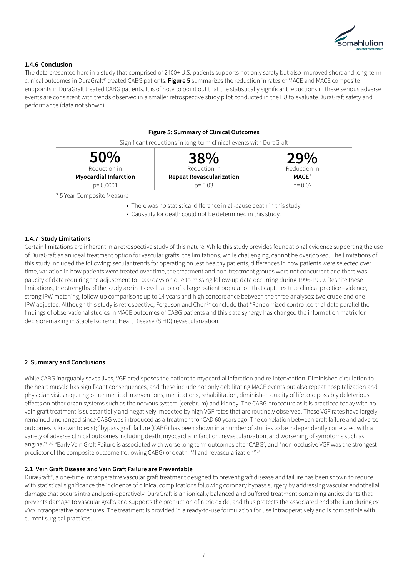

# **1.4.6 Conclusion**

The data presented here in a study that comprised of 2400+ U.S. patients supports not only safety but also improved short and long-term clinical outcomes in DuraGraft® treated CABG patients. **Figure 5** summarizes the reduction in rates of MACE and MACE composite endpoints in DuraGraft treated CABG patients. It is of note to point out that the statistically significant reductions in these serious adverse events are consistent with trends observed in a smaller retrospective study pilot conducted in the EU to evaluate DuraGraft safety and performance (data not shown).

#### **Figure 5: Summary of Clinical Outcomes**

Significant reductions in long-term clinical events with DuraGraft



\* 5 Year Composite Measure

• There was no statistical difference in all-cause death in this study.

• Causality for death could not be determined in this study.

#### **1.4.7 Study Limitations**

Certain limitations are inherent in a retrospective study of this nature. While this study provides foundational evidence supporting the use of DuraGraft as an ideal treatment option for vascular grafts, the limitations, while challenging, cannot be overlooked. The limitations of this study included the following: secular trends for operating on less healthy patients, differences in how patients were selected over time, variation in how patients were treated over time, the treatment and non-treatment groups were not concurrent and there was paucity of data requiring the adjustment to 1000 days on due to missing follow-up data occurring during 1996-1999. Despite these limitations, the strengths of the study are in its evaluation of a large patient population that captures true clinical practice evidence, strong IPW matching, follow-up comparisons up to 14 years and high concordance between the three analyses: two crude and one IPW adjusted. Although this study is retrospective, Ferguson and Chen<sup>(6)</sup> conclude that "Randomized controlled trial data parallel the findings of observational studies in MACE outcomes of CABG patients and this data synergy has changed the information matrix for decision-making in Stable Ischemic Heart Disease (SIHD) revascularization."

#### **2 Summary and Conclusions**

While CABG inarguably saves lives, VGF predisposes the patient to myocardial infarction and re-intervention. Diminished circulation to the heart muscle has significant consequences, and these include not only debilitating MACE events but also repeat hospitalization and physician visits requiring other medical interventions, medications, rehabilitation, diminished quality of life and possibly deleterious effects on other organ systems such as the nervous system (cerebrum) and kidney. The CABG procedure as it is practiced today with no vein graft treatment is substantially and negatively impacted by high VGF rates that are routinely observed. These VGF rates have largely remained unchanged since CABG was introduced as a treatment for CAD 60 years ago. The correlation between graft failure and adverse outcomes is known to exist; "bypass graft failure (CABG) has been shown in a number of studies to be independently correlated with a variety of adverse clinical outcomes including death, myocardial infarction, revascularization, and worsening of symptoms such as angina." $7^{7}$ ,  $8$  "Early Vein Graft Failure is associated with worse long term outcomes after CABG", and "non-occlusive VGF was the strongest predictor of the composite outcome (following CABG) of death, MI and revascularization".<sup>(8)</sup>

#### **2.1 Vein Graft Disease and Vein Graft Failure are Preventable**

DuraGraft®, a one-time intraoperative vascular graft treatment designed to prevent graft disease and failure has been shown to reduce with statistical significance the incidence of clinical complications following coronary bypass surgery by addressing vascular endothelial damage that occurs intra and peri-operatively. DuraGraft is an ionically balanced and buffered treatment containing antioxidants that prevents damage to vascular grafts and supports the production of nitric oxide, and thus protects the associated endothelium during *ex vivo* intraoperative procedures. The treatment is provided in a ready-to-use formulation for use intraoperatively and is compatible with current surgical practices.